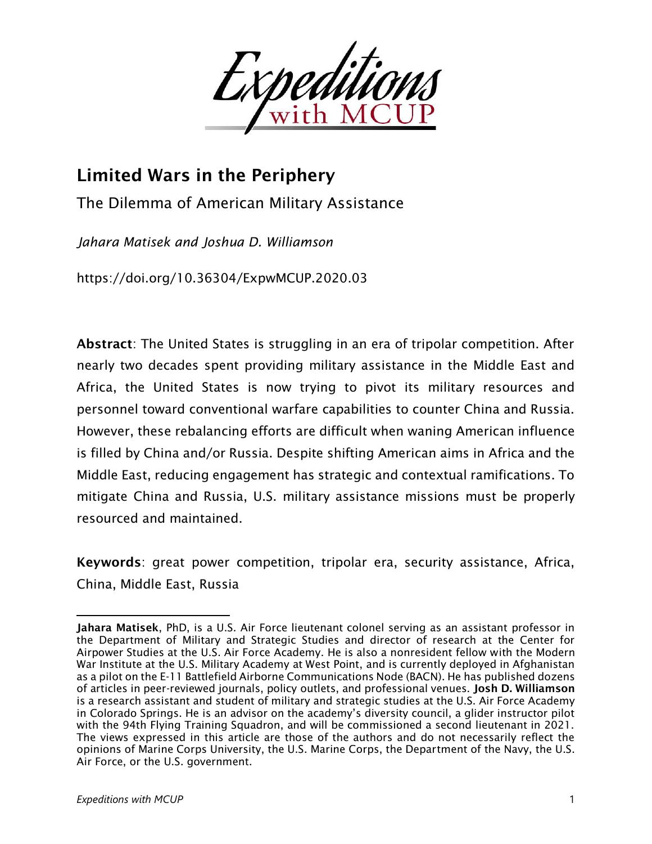

# Limited Wars in the Periphery

The Dilemma of American Military Assistance

*Jahara Matisek and Joshua D. Williamson<sup>1</sup>*

https://doi.org/10.36304/ExpwMCUP.2020.03

Abstract: The United States is struggling in an era of tripolar competition. After nearly two decades spent providing military assistance in the Middle East and Africa, the United States is now trying to pivot its military resources and personnel toward conventional warfare capabilities to counter China and Russia. However, these rebalancing efforts are difficult when waning American influence is filled by China and/or Russia. Despite shifting American aims in Africa and the Middle East, reducing engagement has strategic and contextual ramifications. To mitigate China and Russia, U.S. military assistance missions must be properly resourced and maintained.

Keywords: great power competition, tripolar era, security assistance, Africa, China, Middle East, Russia

Jahara Matisek, PhD, is a U.S. Air Force lieutenant colonel serving as an assistant professor in the Department of Military and Strategic Studies and director of research at the Center for Airpower Studies at the U.S. Air Force Academy. He is also a nonresident fellow with the Modern War Institute at the U.S. Military Academy at West Point, and is currently deployed in Afghanistan as a pilot on the E-11 Battlefield Airborne Communications Node (BACN). He has published dozens of articles in peer-reviewed journals, policy outlets, and professional venues. Josh D. Williamson is a research assistant and student of military and strategic studies at the U.S. Air Force Academy in Colorado Springs. He is an advisor on the academy's diversity council, a glider instructor pilot with the 94th Flying Training Squadron, and will be commissioned a second lieutenant in 2021. The views expressed in this article are those of the authors and do not necessarily reflect the opinions of Marine Corps University, the U.S. Marine Corps, the Department of the Navy, the U.S. Air Force, or the U.S. government.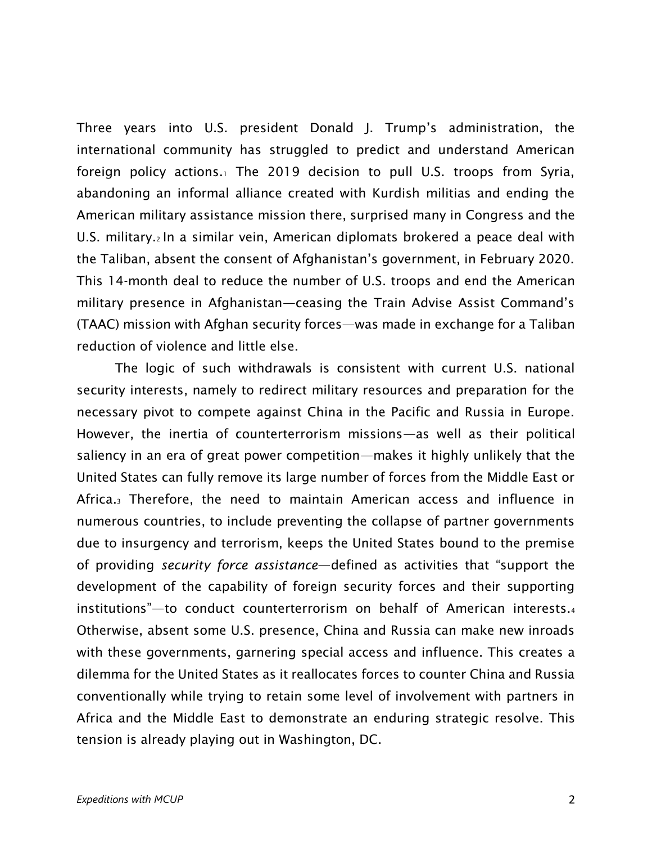Three years into U.S. president Donald J. Trump's administration, the international community has struggled to predict and understand American foreign policy actions.<sup>1</sup> The 2019 decision to pull U.S. troops from Syria, abandoning an informal alliance created with Kurdish militias and ending the American military assistance mission there, surprised many in Congress and the U.S. military.<sup>2</sup> In a similar vein, American diplomats brokered a peace deal with the Taliban, absent the consent of Afghanistan's government, in February 2020. This 14-month deal to reduce the number of U.S. troops and end the American military presence in Afghanistan—ceasing the Train Advise Assist Command's (TAAC) mission with Afghan security forces—was made in exchange for a Taliban reduction of violence and little else.

The logic of such withdrawals is consistent with current U.S. national security interests, namely to redirect military resources and preparation for the necessary pivot to compete against China in the Pacific and Russia in Europe. However, the inertia of counterterrorism missions—as well as their political saliency in an era of great power competition—makes it highly unlikely that the United States can fully remove its large number of forces from the Middle East or Africa.<sup>3</sup> Therefore, the need to maintain American access and influence in numerous countries, to include preventing the collapse of partner governments due to insurgency and terrorism, keeps the United States bound to the premise of providing *security force assistance*—defined as activities that "support the development of the capability of foreign security forces and their supporting institutions"—to conduct counterterrorism on behalf of American interests.<sup>4</sup> Otherwise, absent some U.S. presence, China and Russia can make new inroads with these governments, garnering special access and influence. This creates a dilemma for the United States as it reallocates forces to counter China and Russia conventionally while trying to retain some level of involvement with partners in Africa and the Middle East to demonstrate an enduring strategic resolve. This tension is already playing out in Washington, DC.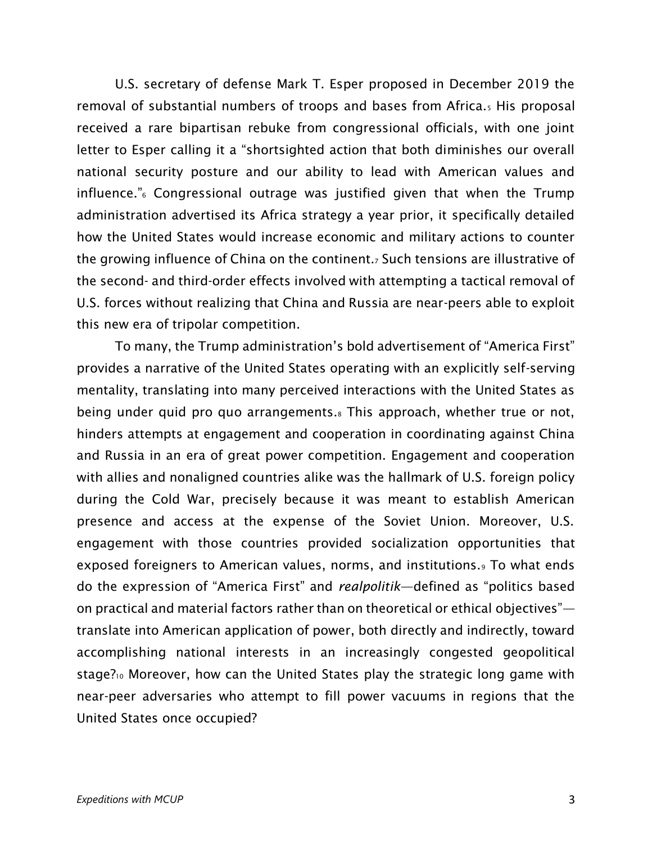U.S. secretary of defense Mark T. Esper proposed in December 2019 the removal of substantial numbers of troops and bases from Africa.<sup>5</sup> His proposal received a rare bipartisan rebuke from congressional officials, with one joint letter to Esper calling it a "shortsighted action that both diminishes our overall national security posture and our ability to lead with American values and influence."<sup>6</sup> Congressional outrage was justified given that when the Trump administration advertised its Africa strategy a year prior, it specifically detailed how the United States would increase economic and military actions to counter the growing influence of China on the continent.<sup>7</sup> Such tensions are illustrative of the second- and third-order effects involved with attempting a tactical removal of U.S. forces without realizing that China and Russia are near-peers able to exploit this new era of tripolar competition.

To many, the Trump administration's bold advertisement of "America First" provides a narrative of the United States operating with an explicitly self-serving mentality, translating into many perceived interactions with the United States as being under quid pro quo arrangements.<sup>8</sup> This approach, whether true or not, hinders attempts at engagement and cooperation in coordinating against China and Russia in an era of great power competition. Engagement and cooperation with allies and nonaligned countries alike was the hallmark of U.S. foreign policy during the Cold War, precisely because it was meant to establish American presence and access at the expense of the Soviet Union. Moreover, U.S. engagement with those countries provided socialization opportunities that exposed foreigners to American values, norms, and institutions.<sup>9</sup> To what ends do the expression of "America First" and *realpolitik*—defined as "politics based on practical and material factors rather than on theoretical or ethical objectives" translate into American application of power, both directly and indirectly, toward accomplishing national interests in an increasingly congested geopolitical stage?<sup>10</sup> Moreover, how can the United States play the strategic long game with near-peer adversaries who attempt to fill power vacuums in regions that the United States once occupied?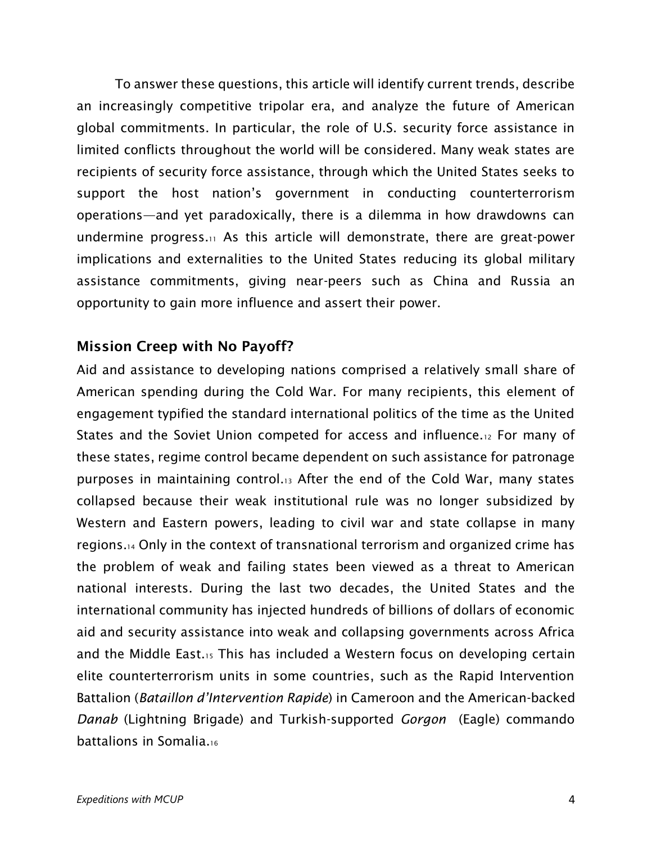To answer these questions, this article will identify current trends, describe an increasingly competitive tripolar era, and analyze the future of American global commitments. In particular, the role of U.S. security force assistance in limited conflicts throughout the world will be considered. Many weak states are recipients of security force assistance, through which the United States seeks to support the host nation's government in conducting counterterrorism operations—and yet paradoxically, there is a dilemma in how drawdowns can undermine progress.<sup>11</sup> As this article will demonstrate, there are great-power implications and externalities to the United States reducing its global military assistance commitments, giving near-peers such as China and Russia an opportunity to gain more influence and assert their power.

## Mission Creep with No Payoff?

Aid and assistance to developing nations comprised a relatively small share of American spending during the Cold War. For many recipients, this element of engagement typified the standard international politics of the time as the United States and the Soviet Union competed for access and influence.<sup>12</sup> For many of these states, regime control became dependent on such assistance for patronage purposes in maintaining control.<sup>13</sup> After the end of the Cold War, many states collapsed because their weak institutional rule was no longer subsidized by Western and Eastern powers, leading to civil war and state collapse in many regions.<sup>14</sup> Only in the context of transnational terrorism and organized crime has the problem of weak and failing states been viewed as a threat to American national interests. During the last two decades, the United States and the international community has injected hundreds of billions of dollars of economic aid and security assistance into weak and collapsing governments across Africa and the Middle East.<sup>15</sup> This has included a Western focus on developing certain elite counterterrorism units in some countries, such as the Rapid Intervention Battalion (*Bataillon d'Intervention Rapide*) in Cameroon and the American-backed *Danab* (Lightning Brigade) and Turkish-supported *Gorgon* (Eagle) commando battalions in Somalia.16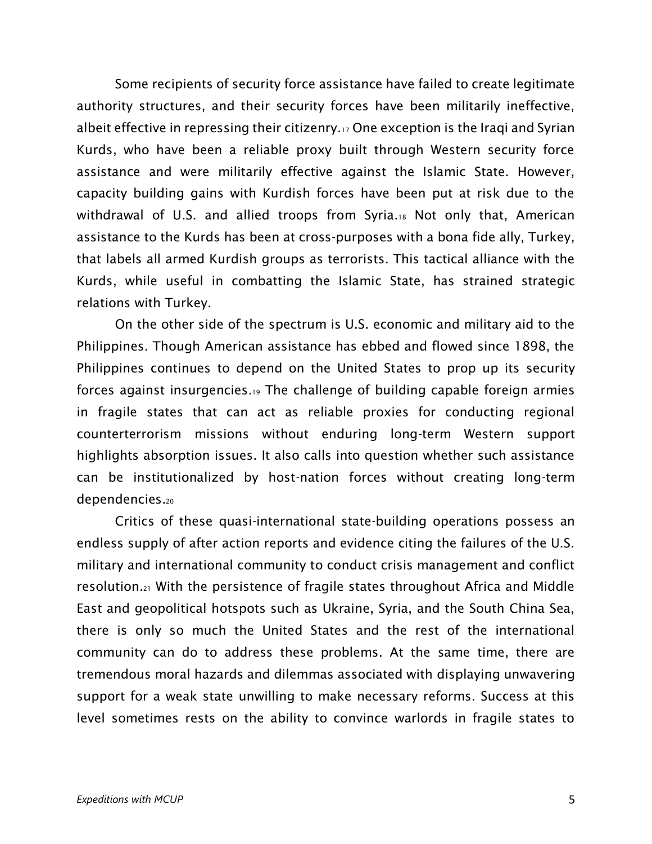Some recipients of security force assistance have failed to create legitimate authority structures, and their security forces have been militarily ineffective, albeit effective in repressing their citizenry.<sup>17</sup> One exception is the Iraqi and Syrian Kurds, who have been a reliable proxy built through Western security force assistance and were militarily effective against the Islamic State. However, capacity building gains with Kurdish forces have been put at risk due to the withdrawal of U.S. and allied troops from Syria.<sup>18</sup> Not only that, American assistance to the Kurds has been at cross-purposes with a bona fide ally, Turkey, that labels all armed Kurdish groups as terrorists. This tactical alliance with the Kurds, while useful in combatting the Islamic State, has strained strategic relations with Turkey.

On the other side of the spectrum is U.S. economic and military aid to the Philippines. Though American assistance has ebbed and flowed since 1898, the Philippines continues to depend on the United States to prop up its security forces against insurgencies.<sup>19</sup> The challenge of building capable foreign armies in fragile states that can act as reliable proxies for conducting regional counterterrorism missions without enduring long-term Western support highlights absorption issues. It also calls into question whether such assistance can be institutionalized by host-nation forces without creating long-term dependencies.<sup>20</sup>

Critics of these quasi-international state-building operations possess an endless supply of after action reports and evidence citing the failures of the U.S. military and international community to conduct crisis management and conflict resolution.<sup>21</sup> With the persistence of fragile states throughout Africa and Middle East and geopolitical hotspots such as Ukraine, Syria, and the South China Sea, there is only so much the United States and the rest of the international community can do to address these problems. At the same time, there are tremendous moral hazards and dilemmas associated with displaying unwavering support for a weak state unwilling to make necessary reforms. Success at this level sometimes rests on the ability to convince warlords in fragile states to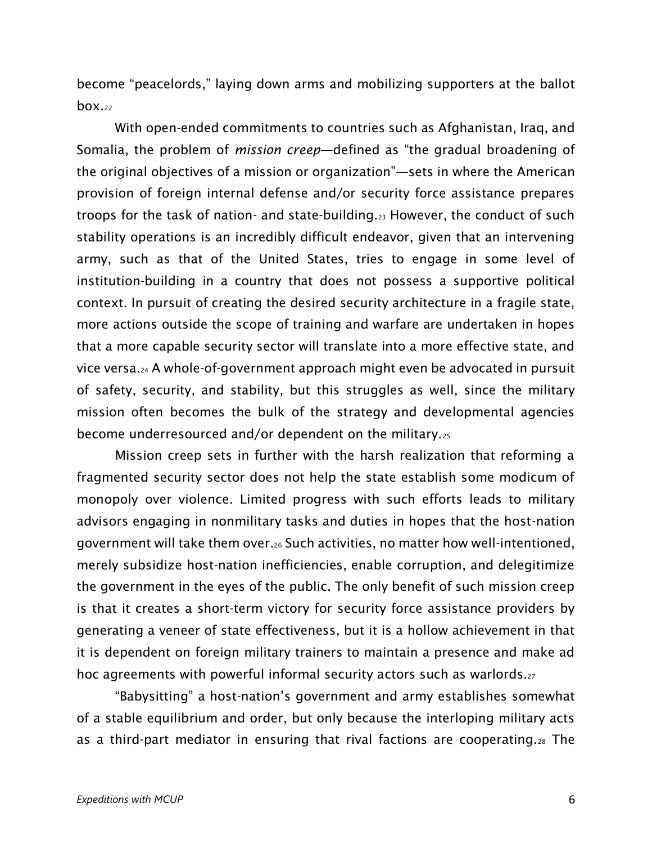become "peacelords," laying down arms and mobilizing supporters at the ballot  $box.22$ 

With open-ended commitments to countries such as Afghanistan, Iraq, and Somalia, the problem of *mission creep*—defined as "the gradual broadening of the original objectives of a mission or organization"—sets in where the American provision of foreign internal defense and/or security force assistance prepares troops for the task of nation- and state-building.<sup>23</sup> However, the conduct of such stability operations is an incredibly difficult endeavor, given that an intervening army, such as that of the United States, tries to engage in some level of institution-building in a country that does not possess a supportive political context. In pursuit of creating the desired security architecture in a fragile state, more actions outside the scope of training and warfare are undertaken in hopes that a more capable security sector will translate into a more effective state, and vice versa.<sup>24</sup> A whole-of-government approach might even be advocated in pursuit of safety, security, and stability, but this struggles as well, since the military mission often becomes the bulk of the strategy and developmental agencies become underresourced and/or dependent on the military.<sup>25</sup>

Mission creep sets in further with the harsh realization that reforming a fragmented security sector does not help the state establish some modicum of monopoly over violence. Limited progress with such efforts leads to military advisors engaging in nonmilitary tasks and duties in hopes that the host-nation government will take them over.<sup>26</sup> Such activities, no matter how well-intentioned, merely subsidize host-nation inefficiencies, enable corruption, and delegitimize the government in the eyes of the public. The only benefit of such mission creep is that it creates a short-term victory for security force assistance providers by generating a veneer of state effectiveness, but it is a hollow achievement in that it is dependent on foreign military trainers to maintain a presence and make ad hoc agreements with powerful informal security actors such as warlords.<sup>27</sup>

"Babysitting" a host-nation's government and army establishes somewhat of a stable equilibrium and order, but only because the interloping military acts as a third-part mediator in ensuring that rival factions are cooperating.<sup>28</sup> The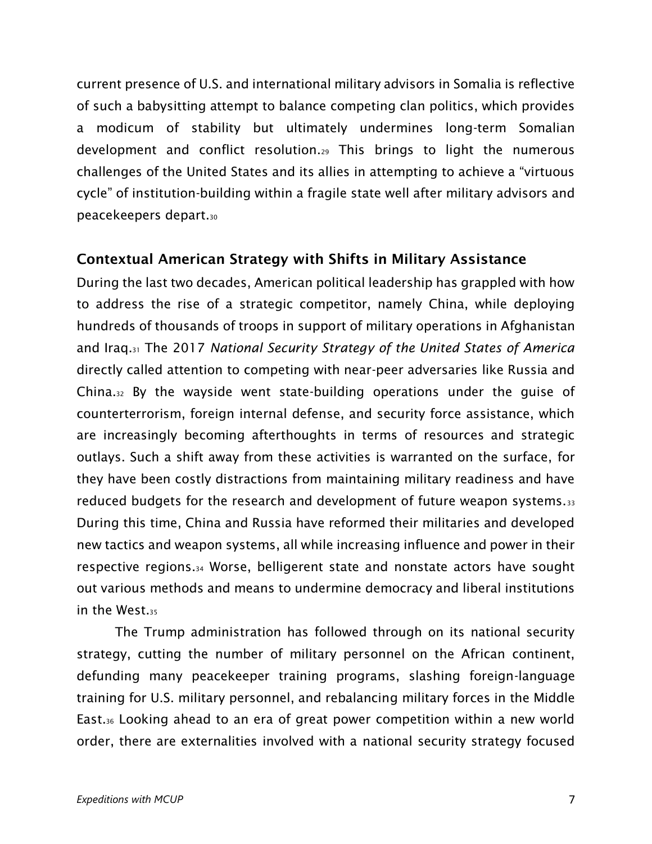current presence of U.S. and international military advisors in Somalia is reflective of such a babysitting attempt to balance competing clan politics, which provides a modicum of stability but ultimately undermines long-term Somalian development and conflict resolution.<sup>29</sup> This brings to light the numerous challenges of the United States and its allies in attempting to achieve a "virtuous cycle" of institution-building within a fragile state well after military advisors and peacekeepers depart.<sup>30</sup>

## Contextual American Strategy with Shifts in Military Assistance

During the last two decades, American political leadership has grappled with how to address the rise of a strategic competitor, namely China, while deploying hundreds of thousands of troops in support of military operations in Afghanistan and Iraq.<sup>31</sup> The 2017 *National Security Strategy of the United States of America* directly called attention to competing with near-peer adversaries like Russia and China.<sup>32</sup> By the wayside went state-building operations under the guise of counterterrorism, foreign internal defense, and security force assistance, which are increasingly becoming afterthoughts in terms of resources and strategic outlays. Such a shift away from these activities is warranted on the surface, for they have been costly distractions from maintaining military readiness and have reduced budgets for the research and development of future weapon systems.<sup>33</sup> During this time, China and Russia have reformed their militaries and developed new tactics and weapon systems, all while increasing influence and power in their respective regions.<sup>34</sup> Worse, belligerent state and nonstate actors have sought out various methods and means to undermine democracy and liberal institutions in the West.<sup>35</sup>

The Trump administration has followed through on its national security strategy, cutting the number of military personnel on the African continent, defunding many peacekeeper training programs, slashing foreign-language training for U.S. military personnel, and rebalancing military forces in the Middle East.<sup>36</sup> Looking ahead to an era of great power competition within a new world order, there are externalities involved with a national security strategy focused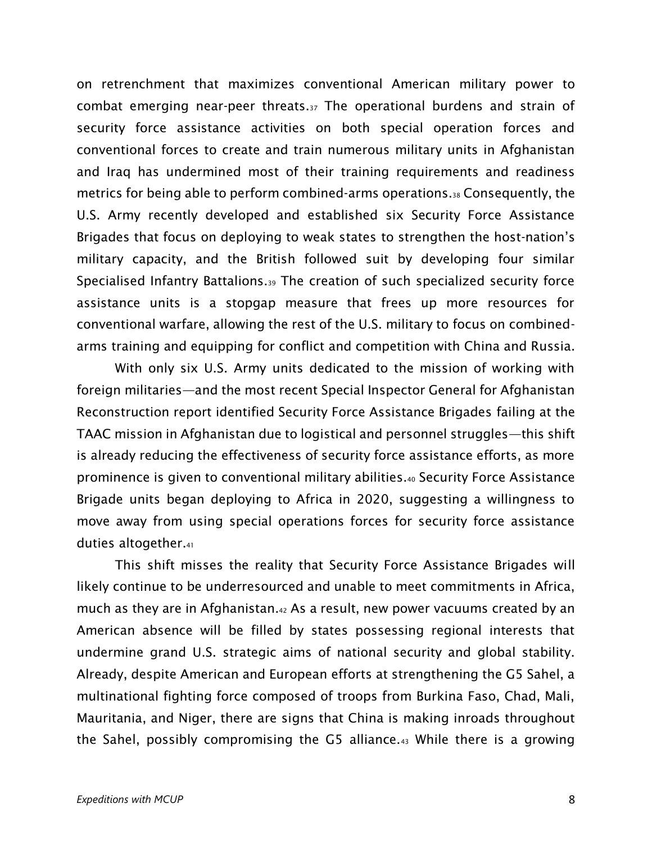on retrenchment that maximizes conventional American military power to combat emerging near-peer threats.<sup>37</sup> The operational burdens and strain of security force assistance activities on both special operation forces and conventional forces to create and train numerous military units in Afghanistan and Iraq has undermined most of their training requirements and readiness metrics for being able to perform combined-arms operations.<sup>38</sup> Consequently, the U.S. Army recently developed and established six Security Force Assistance Brigades that focus on deploying to weak states to strengthen the host-nation's military capacity, and the British followed suit by developing four similar Specialised Infantry Battalions.<sup>39</sup> The creation of such specialized security force assistance units is a stopgap measure that frees up more resources for conventional warfare, allowing the rest of the U.S. military to focus on combinedarms training and equipping for conflict and competition with China and Russia.

With only six U.S. Army units dedicated to the mission of working with foreign militaries—and the most recent Special Inspector General for Afghanistan Reconstruction report identified Security Force Assistance Brigades failing at the TAAC mission in Afghanistan due to logistical and personnel struggles—this shift is already reducing the effectiveness of security force assistance efforts, as more prominence is given to conventional military abilities.<sup>40</sup> Security Force Assistance Brigade units began deploying to Africa in 2020, suggesting a willingness to move away from using special operations forces for security force assistance duties altogether.<sup>41</sup>

This shift misses the reality that Security Force Assistance Brigades will likely continue to be underresourced and unable to meet commitments in Africa, much as they are in Afghanistan.<sup>42</sup> As a result, new power vacuums created by an American absence will be filled by states possessing regional interests that undermine grand U.S. strategic aims of national security and global stability. Already, despite American and European efforts at strengthening the G5 Sahel, a multinational fighting force composed of troops from Burkina Faso, Chad, Mali, Mauritania, and Niger, there are signs that China is making inroads throughout the Sahel, possibly compromising the G5 alliance.<sup>43</sup> While there is a growing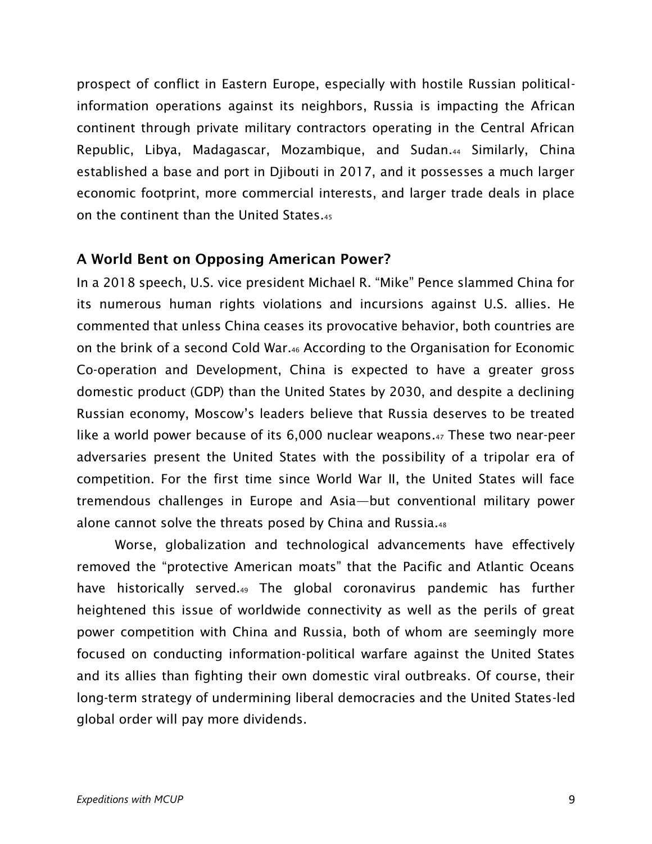prospect of conflict in Eastern Europe, especially with hostile Russian politicalinformation operations against its neighbors, Russia is impacting the African continent through private military contractors operating in the Central African Republic, Libya, Madagascar, Mozambique, and Sudan.<sup>44</sup> Similarly, China established a base and port in Djibouti in 2017, and it possesses a much larger economic footprint, more commercial interests, and larger trade deals in place on the continent than the United States.<sup>45</sup>

#### A World Bent on Opposing American Power?

In a 2018 speech, U.S. vice president Michael R. "Mike" Pence slammed China for its numerous human rights violations and incursions against U.S. allies. He commented that unless China ceases its provocative behavior, both countries are on the brink of a second Cold War.<sup>46</sup> According to the Organisation for Economic Co-operation and Development, China is expected to have a greater gross domestic product (GDP) than the United States by 2030, and despite a declining Russian economy, Moscow's leaders believe that Russia deserves to be treated like a world power because of its 6,000 nuclear weapons.<sup>47</sup> These two near-peer adversaries present the United States with the possibility of a tripolar era of competition. For the first time since World War II, the United States will face tremendous challenges in Europe and Asia—but conventional military power alone cannot solve the threats posed by China and Russia.<sup>48</sup>

Worse, globalization and technological advancements have effectively removed the "protective American moats" that the Pacific and Atlantic Oceans have historically served.<sup>49</sup> The global coronavirus pandemic has further heightened this issue of worldwide connectivity as well as the perils of great power competition with China and Russia, both of whom are seemingly more focused on conducting information-political warfare against the United States and its allies than fighting their own domestic viral outbreaks. Of course, their long-term strategy of undermining liberal democracies and the United States-led global order will pay more dividends.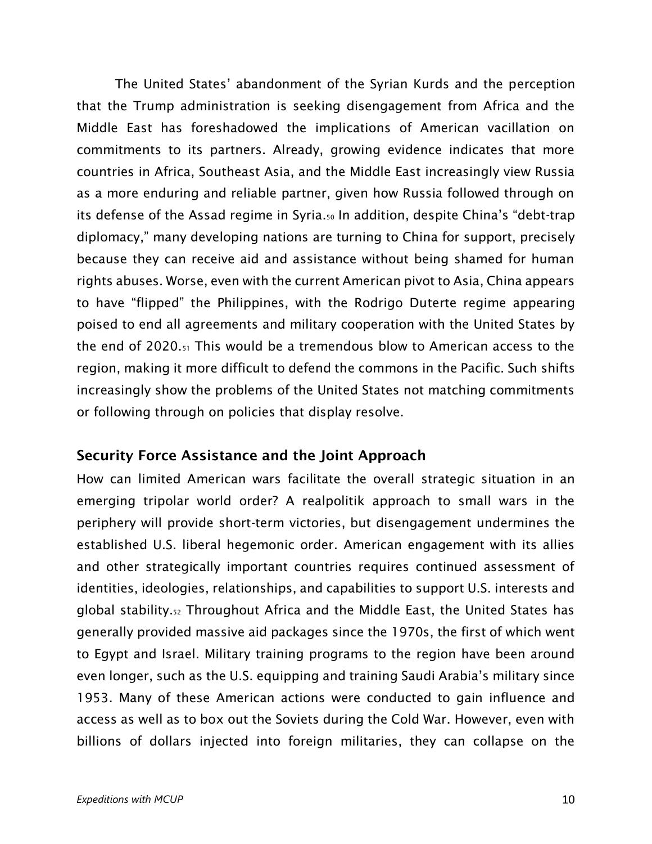The United States' abandonment of the Syrian Kurds and the perception that the Trump administration is seeking disengagement from Africa and the Middle East has foreshadowed the implications of American vacillation on commitments to its partners. Already, growing evidence indicates that more countries in Africa, Southeast Asia, and the Middle East increasingly view Russia as a more enduring and reliable partner, given how Russia followed through on its defense of the Assad regime in Syria.<sup>50</sup> In addition, despite China's "debt-trap diplomacy," many developing nations are turning to China for support, precisely because they can receive aid and assistance without being shamed for human rights abuses. Worse, even with the current American pivot to Asia, China appears to have "flipped" the Philippines, with the Rodrigo Duterte regime appearing poised to end all agreements and military cooperation with the United States by the end of 2020.<sup>51</sup> This would be a tremendous blow to American access to the region, making it more difficult to defend the commons in the Pacific. Such shifts increasingly show the problems of the United States not matching commitments or following through on policies that display resolve.

#### Security Force Assistance and the Joint Approach

How can limited American wars facilitate the overall strategic situation in an emerging tripolar world order? A realpolitik approach to small wars in the periphery will provide short-term victories, but disengagement undermines the established U.S. liberal hegemonic order. American engagement with its allies and other strategically important countries requires continued assessment of identities, ideologies, relationships, and capabilities to support U.S. interests and global stability.<sup>52</sup> Throughout Africa and the Middle East, the United States has generally provided massive aid packages since the 1970s, the first of which went to Egypt and Israel. Military training programs to the region have been around even longer, such as the U.S. equipping and training Saudi Arabia's military since 1953. Many of these American actions were conducted to gain influence and access as well as to box out the Soviets during the Cold War. However, even with billions of dollars injected into foreign militaries, they can collapse on the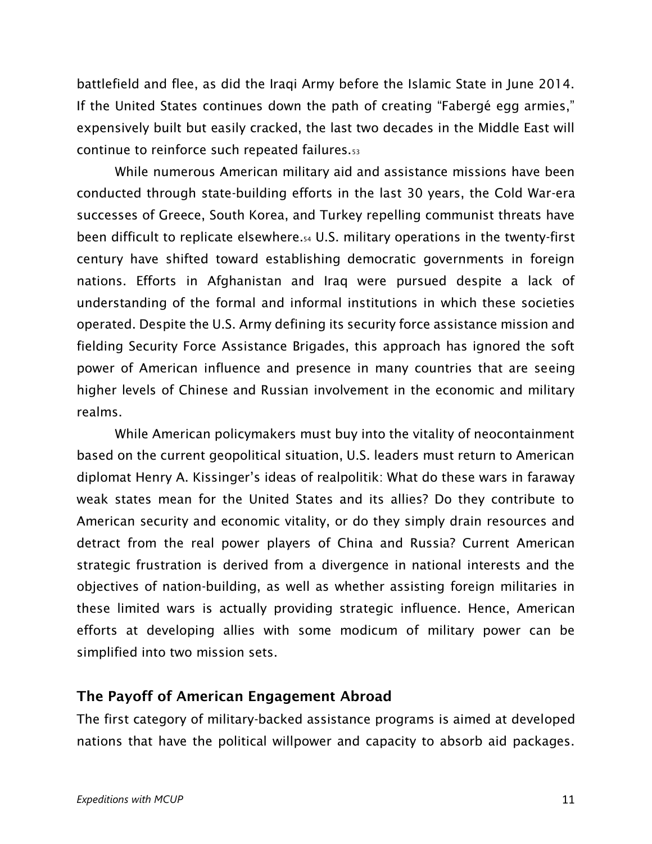battlefield and flee, as did the Iraqi Army before the Islamic State in June 2014. If the United States continues down the path of creating "Fabergé egg armies," expensively built but easily cracked, the last two decades in the Middle East will continue to reinforce such repeated failures.<sup>53</sup>

While numerous American military aid and assistance missions have been conducted through state-building efforts in the last 30 years, the Cold War-era successes of Greece, South Korea, and Turkey repelling communist threats have been difficult to replicate elsewhere.<sup>54</sup> U.S. military operations in the twenty-first century have shifted toward establishing democratic governments in foreign nations. Efforts in Afghanistan and Iraq were pursued despite a lack of understanding of the formal and informal institutions in which these societies operated. Despite the U.S. Army defining its security force assistance mission and fielding Security Force Assistance Brigades, this approach has ignored the soft power of American influence and presence in many countries that are seeing higher levels of Chinese and Russian involvement in the economic and military realms.

While American policymakers must buy into the vitality of neocontainment based on the current geopolitical situation, U.S. leaders must return to American diplomat Henry A. Kissinger's ideas of realpolitik: What do these wars in faraway weak states mean for the United States and its allies? Do they contribute to American security and economic vitality, or do they simply drain resources and detract from the real power players of China and Russia? Current American strategic frustration is derived from a divergence in national interests and the objectives of nation-building, as well as whether assisting foreign militaries in these limited wars is actually providing strategic influence. Hence, American efforts at developing allies with some modicum of military power can be simplified into two mission sets.

## The Payoff of American Engagement Abroad

The first category of military-backed assistance programs is aimed at developed nations that have the political willpower and capacity to absorb aid packages.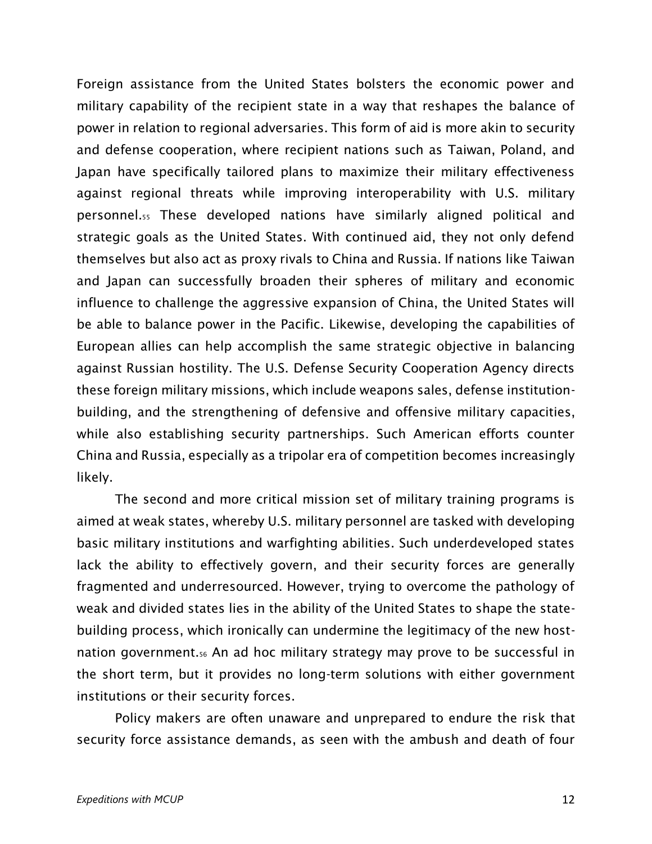Foreign assistance from the United States bolsters the economic power and military capability of the recipient state in a way that reshapes the balance of power in relation to regional adversaries. This form of aid is more akin to security and defense cooperation, where recipient nations such as Taiwan, Poland, and Japan have specifically tailored plans to maximize their military effectiveness against regional threats while improving interoperability with U.S. military personnel.<sup>55</sup> These developed nations have similarly aligned political and strategic goals as the United States. With continued aid, they not only defend themselves but also act as proxy rivals to China and Russia. If nations like Taiwan and Japan can successfully broaden their spheres of military and economic influence to challenge the aggressive expansion of China, the United States will be able to balance power in the Pacific. Likewise, developing the capabilities of European allies can help accomplish the same strategic objective in balancing against Russian hostility. The U.S. Defense Security Cooperation Agency directs these foreign military missions, which include weapons sales, defense institutionbuilding, and the strengthening of defensive and offensive military capacities, while also establishing security partnerships. Such American efforts counter China and Russia, especially as a tripolar era of competition becomes increasingly likely.

The second and more critical mission set of military training programs is aimed at weak states, whereby U.S. military personnel are tasked with developing basic military institutions and warfighting abilities. Such underdeveloped states lack the ability to effectively govern, and their security forces are generally fragmented and underresourced. However, trying to overcome the pathology of weak and divided states lies in the ability of the United States to shape the statebuilding process, which ironically can undermine the legitimacy of the new hostnation government.<sup>56</sup> An ad hoc military strategy may prove to be successful in the short term, but it provides no long-term solutions with either government institutions or their security forces.

Policy makers are often unaware and unprepared to endure the risk that security force assistance demands, as seen with the ambush and death of four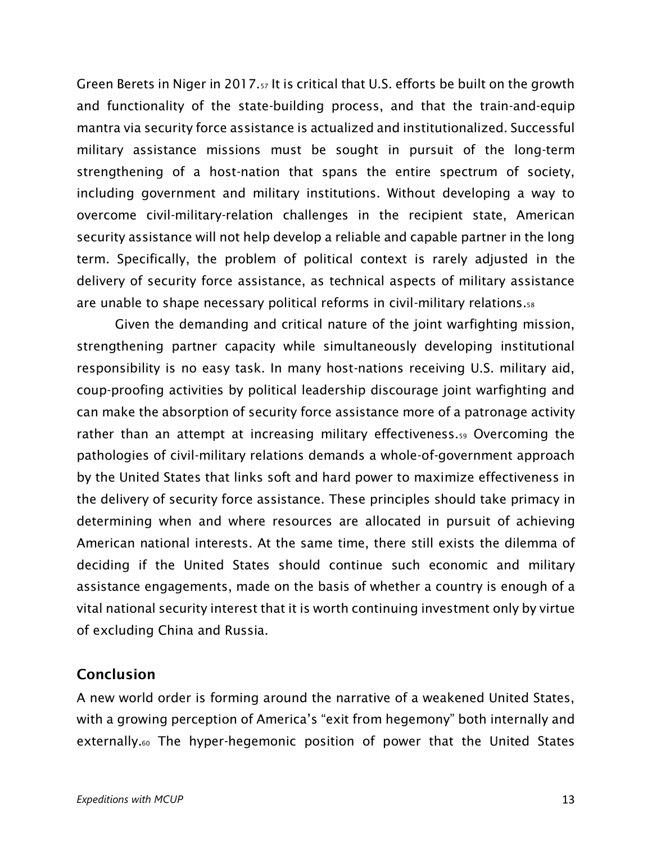Green Berets in Niger in 2017.<sup>57</sup> It is critical that U.S. efforts be built on the growth and functionality of the state-building process, and that the train-and-equip mantra via security force assistance is actualized and institutionalized. Successful military assistance missions must be sought in pursuit of the long-term strengthening of a host-nation that spans the entire spectrum of society, including government and military institutions. Without developing a way to overcome civil-military-relation challenges in the recipient state, American security assistance will not help develop a reliable and capable partner in the long term. Specifically, the problem of political context is rarely adjusted in the delivery of security force assistance, as technical aspects of military assistance are unable to shape necessary political reforms in civil-military relations.<sup>58</sup>

Given the demanding and critical nature of the joint warfighting mission, strengthening partner capacity while simultaneously developing institutional responsibility is no easy task. In many host-nations receiving U.S. military aid, coup-proofing activities by political leadership discourage joint warfighting and can make the absorption of security force assistance more of a patronage activity rather than an attempt at increasing military effectiveness.<sup>59</sup> Overcoming the pathologies of civil-military relations demands a whole-of-government approach by the United States that links soft and hard power to maximize effectiveness in the delivery of security force assistance. These principles should take primacy in determining when and where resources are allocated in pursuit of achieving American national interests. At the same time, there still exists the dilemma of deciding if the United States should continue such economic and military assistance engagements, made on the basis of whether a country is enough of a vital national security interest that it is worth continuing investment only by virtue of excluding China and Russia.

#### **Conclusion**

A new world order is forming around the narrative of a weakened United States, with a growing perception of America's "exit from hegemony" both internally and externally.<sub>60</sub> The hyper-hegemonic position of power that the United States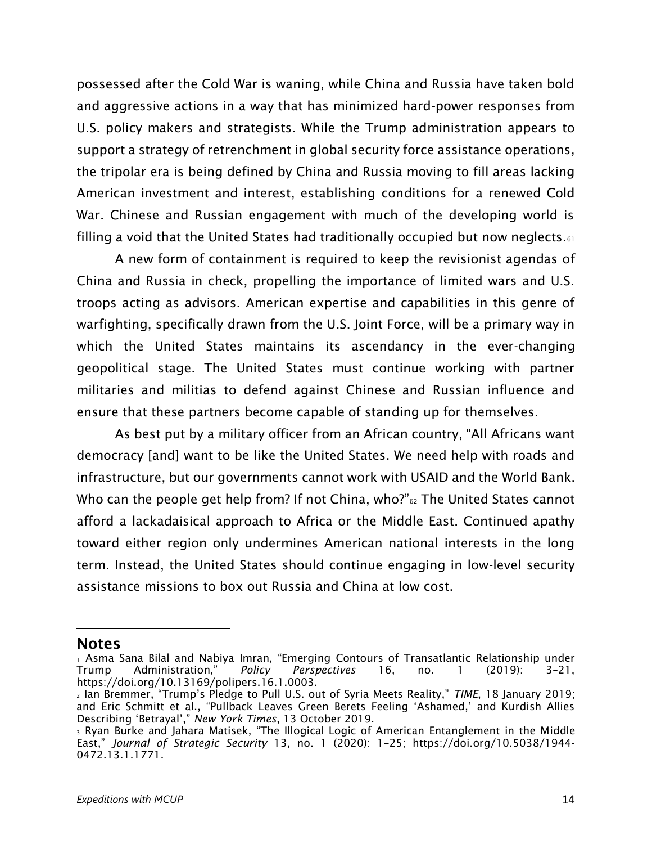possessed after the Cold War is waning, while China and Russia have taken bold and aggressive actions in a way that has minimized hard-power responses from U.S. policy makers and strategists. While the Trump administration appears to support a strategy of retrenchment in global security force assistance operations, the tripolar era is being defined by China and Russia moving to fill areas lacking American investment and interest, establishing conditions for a renewed Cold War. Chinese and Russian engagement with much of the developing world is filling a void that the United States had traditionally occupied but now neglects. $61$ 

A new form of containment is required to keep the revisionist agendas of China and Russia in check, propelling the importance of limited wars and U.S. troops acting as advisors. American expertise and capabilities in this genre of warfighting, specifically drawn from the U.S. Joint Force, will be a primary way in which the United States maintains its ascendancy in the ever-changing geopolitical stage. The United States must continue working with partner militaries and militias to defend against Chinese and Russian influence and ensure that these partners become capable of standing up for themselves.

As best put by a military officer from an African country, "All Africans want democracy [and] want to be like the United States. We need help with roads and infrastructure, but our governments cannot work with USAID and the World Bank. Who can the people get help from? If not China, who?"<sup>62</sup> The United States cannot afford a lackadaisical approach to Africa or the Middle East. Continued apathy toward either region only undermines American national interests in the long term. Instead, the United States should continue engaging in low-level security assistance missions to box out Russia and China at low cost.

**Notes** 

<sup>1</sup> Asma Sana Bilal and Nabiya Imran, "Emerging Contours of Transatlantic Relationship under Trump Administration," *Policy Perspectives* 16, no. 1 (2019): 3–21, https://doi.org/10.13169/polipers.16.1.0003.

<sup>2</sup> Ian Bremmer, "Trump's Pledge to Pull U.S. out of Syria Meets Reality," *TIME*, 18 January 2019; and Eric Schmitt et al., "Pullback Leaves Green Berets Feeling 'Ashamed,' and Kurdish Allies Describing 'Betrayal'," *New York Times*, 13 October 2019.

<sup>3</sup> Ryan Burke and Jahara Matisek, "The Illogical Logic of American Entanglement in the Middle East," *Journal of Strategic Security* 13, no. 1 (2020): 1–25; https://doi.org/10.5038/1944- 0472.13.1.1771.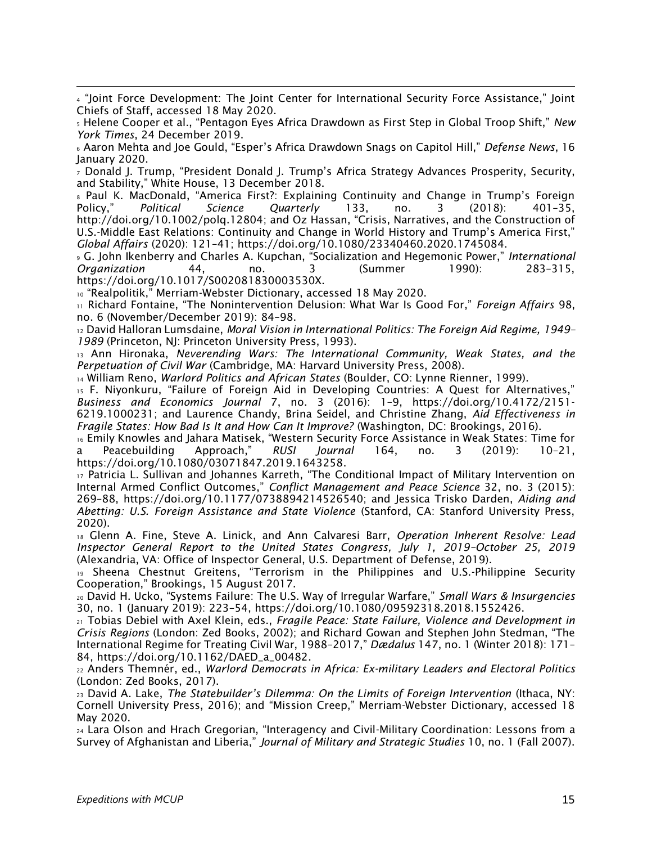<sup>4</sup> "Joint Force Development: The Joint Center for International Security Force Assistance," Joint Chiefs of Staff, accessed 18 May 2020.

<sup>5</sup> Helene Cooper et al., "Pentagon Eyes Africa Drawdown as First Step in Global Troop Shift," *New York Times*, 24 December 2019.

<sup>6</sup> Aaron Mehta and Joe Gould, "Esper's Africa Drawdown Snags on Capitol Hill," *Defense News*, 16 January 2020.

<sup>7</sup> Donald J. Trump, "President Donald J. Trump's Africa Strategy Advances Prosperity, Security, and Stability," White House, 13 December 2018.

<sup>8</sup> Paul K. MacDonald, "America First?: Explaining Continuity and Change in Trump's Foreign Policy," *Political Science Quarterly* 133, no. 3 (2018): 401–35, http://doi.org/10.1002/polq.12804; and Oz Hassan, "Crisis, Narratives, and the Construction of U.S.-Middle East Relations: Continuity and Change in World History and Trump's America First," *Global Affairs* (2020): 121–41; https://doi.org/10.1080/23340460.2020.1745084.

<sup>9</sup> G. John Ikenberry and Charles A. Kupchan, "Socialization and Hegemonic Power," *International Organization* 44, no. 3 (Summer 1990): 283–315, https://doi.org/10.1017/S002081830003530X.

<sup>10</sup> "Realpolitik," Merriam-Webster Dictionary, accessed 18 May 2020.

<sup>11</sup> Richard Fontaine, "The Nonintervention Delusion: What War Is Good For," *Foreign Affairs* 98, no. 6 (November/December 2019): 84–98.

<sup>12</sup> David Halloran Lumsdaine, *Moral Vision in International Politics: The Foreign Aid Regime, 1949– 1989* (Princeton, NJ: Princeton University Press, 1993).

<sup>13</sup> Ann Hironaka, *Neverending Wars: The International Community, Weak States, and the Perpetuation of Civil War* (Cambridge, MA: Harvard University Press, 2008).

<sup>14</sup> William Reno, *Warlord Politics and African States* (Boulder, CO: Lynne Rienner, 1999).

<sup>15</sup> F. Niyonkuru, "Failure of Foreign Aid in Developing Countries: A Quest for Alternatives," *Business and Economics Journal* 7, no. 3 (2016): 1–9, https://doi.org/10.4172/2151- 6219.1000231; and Laurence Chandy, Brina Seidel, and Christine Zhang, *Aid Effectiveness in Fragile States: How Bad Is It and How Can It Improve?* (Washington, DC: Brookings, 2016).

<sup>16</sup> Emily Knowles and Jahara Matisek, "Western Security Force Assistance in Weak States: Time for a Peacebuilding Approach," *RUSI Journal* 164, no. 3 (2019): 10–21, https://doi.org/10.1080/03071847.2019.1643258.

<sup>17</sup> Patricia L. Sullivan and Johannes Karreth, "The Conditional Impact of Military Intervention on Internal Armed Conflict Outcomes," *Conflict Management and Peace Science* 32, no. 3 (2015): 269–88, https://doi.org/10.1177/0738894214526540; and Jessica Trisko Darden, *Aiding and Abetting: U.S. Foreign Assistance and State Violence* (Stanford, CA: Stanford University Press, 2020).

<sup>18</sup> Glenn A. Fine, Steve A. Linick, and Ann Calvaresi Barr, *Operation Inherent Resolve: Lead Inspector General Report to the United States Congress, July 1, 2019–October 25, 2019*  (Alexandria, VA: Office of Inspector General, U.S. Department of Defense, 2019).

<sup>19</sup> Sheena Chestnut Greitens, "Terrorism in the Philippines and U.S.-Philippine Security Cooperation," Brookings, 15 August 2017.

<sup>20</sup> David H. Ucko, "Systems Failure: The U.S. Way of Irregular Warfare," *Small Wars & Insurgencies* 30, no. 1 (January 2019): 223–54, https://doi.org/10.1080/09592318.2018.1552426.

<sup>21</sup> Tobias Debiel with Axel Klein, eds., *Fragile Peace: State Failure, Violence and Development in Crisis Regions* (London: Zed Books, 2002); and Richard Gowan and Stephen John Stedman, "The International Regime for Treating Civil War, 1988–2017," *Dædalus* 147, no. 1 (Winter 2018): 171– 84, https://doi.org/10.1162/DAED\_a\_00482.

<sup>22</sup> Anders Themnér, ed., *Warlord Democrats in Africa: Ex-military Leaders and Electoral Politics* (London: Zed Books, 2017).

<sup>23</sup> David A. Lake, *The Statebuilder's Dilemma: On the Limits of Foreign Intervention* (Ithaca, NY: Cornell University Press, 2016); and "Mission Creep," Merriam-Webster Dictionary, accessed 18 May 2020.

<sup>24</sup> Lara Olson and Hrach Gregorian, "Interagency and Civil-Military Coordination: Lessons from a Survey of Afghanistan and Liberia," *Journal of Military and Strategic Studies* 10, no. 1 (Fall 2007).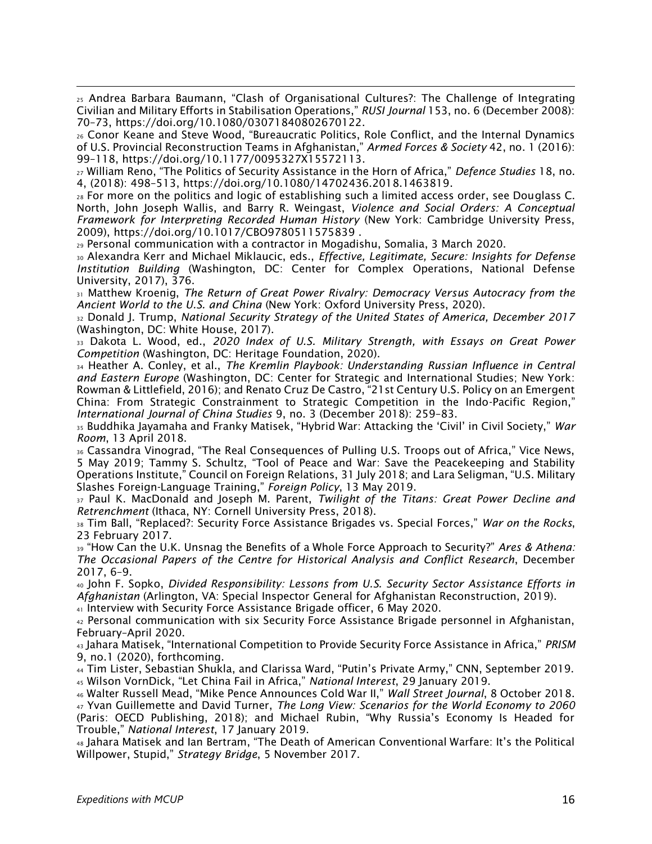<sup>25</sup> Andrea Barbara Baumann, "Clash of Organisational Cultures?: The Challenge of Integrating Civilian and Military Efforts in Stabilisation Operations," *RUSI Journal* 153, no. 6 (December 2008): 70–73, https://doi.org/10.1080/03071840802670122.

<sup>26</sup> Conor Keane and Steve Wood, "Bureaucratic Politics, Role Conflict, and the Internal Dynamics of U.S. Provincial Reconstruction Teams in Afghanistan," *Armed Forces & Society* 42, no. 1 (2016): 99–118, https://doi.org/10.1177/0095327X15572113.

<sup>27</sup> William Reno, "The Politics of Security Assistance in the Horn of Africa," *Defence Studies* 18, no. 4, (2018): 498–513, https://doi.org/10.1080/14702436.2018.1463819.

<sup>28</sup> For more on the politics and logic of establishing such a limited access order, see Douglass C. North, John Joseph Wallis, and Barry R. Weingast, *Violence and Social Orders: A Conceptual Framework for Interpreting Recorded Human History* (New York: Cambridge University Press, 2009), https://doi.org/10.1017/CBO9780511575839 .

<sup>29</sup> Personal communication with a contractor in Mogadishu, Somalia, 3 March 2020.

<sup>30</sup> Alexandra Kerr and Michael Miklaucic, eds., *Effective, Legitimate, Secure: Insights for Defense Institution Building* (Washington, DC: Center for Complex Operations, National Defense University, 2017), 376.

<sup>31</sup> Matthew Kroenig, *The Return of Great Power Rivalry: Democracy Versus Autocracy from the Ancient World to the U.S. and China* (New York: Oxford University Press, 2020).

<sup>32</sup> Donald J. Trump, *National Security Strategy of the United States of America, December 2017* (Washington, DC: White House, 2017).

<sup>33</sup> Dakota L. Wood, ed., *2020 Index of U.S. Military Strength, with Essays on Great Power Competition* (Washington, DC: Heritage Foundation, 2020).

<sup>34</sup> Heather A. Conley, et al., *The Kremlin Playbook: Understanding Russian Influence in Central and Eastern Europe* (Washington, DC: Center for Strategic and International Studies; New York: Rowman & Littlefield, 2016); and Renato Cruz De Castro, "21st Century U.S. Policy on an Emergent China: From Strategic Constrainment to Strategic Competition in the Indo-Pacific Region," *International Journal of China Studies* 9, no. 3 (December 2018): 259–83.

<sup>35</sup> Buddhika Jayamaha and Franky Matisek, "Hybrid War: Attacking the 'Civil' in Civil Society," *War Room*, 13 April 2018.

36 Cassandra Vinograd, "The Real Consequences of Pulling U.S. Troops out of Africa," Vice News, 5 May 2019; Tammy S. Schultz, "Tool of Peace and War: Save the Peacekeeping and Stability Operations Institute," Council on Foreign Relations, 31 July 2018; and Lara Seligman, "U.S. Military Slashes Foreign-Language Training," *Foreign Policy*, 13 May 2019.

<sup>37</sup> Paul K. MacDonald and Joseph M. Parent, *Twilight of the Titans: Great Power Decline and Retrenchment* (Ithaca, NY: Cornell University Press, 2018).

<sup>38</sup> Tim Ball, "Replaced?: Security Force Assistance Brigades vs. Special Forces," *War on the Rocks*, 23 February 2017.

<sup>39</sup> "How Can the U.K. Unsnag the Benefits of a Whole Force Approach to Security?" *Ares & Athena: The Occasional Papers of the Centre for Historical Analysis and Conflict Research*, December 2017, 6–9.

<sup>40</sup> John F. Sopko, *Divided Responsibility: Lessons from U.S. Security Sector Assistance Efforts in Afghanistan* (Arlington, VA: Special Inspector General for Afghanistan Reconstruction, 2019).

<sup>41</sup> Interview with Security Force Assistance Brigade officer, 6 May 2020.

<sup>42</sup> Personal communication with six Security Force Assistance Brigade personnel in Afghanistan, February–April 2020.

<sup>43</sup> Jahara Matisek, "International Competition to Provide Security Force Assistance in Africa," *PRISM* 9, no.1 (2020), forthcoming.

<sup>44</sup> Tim Lister, Sebastian Shukla, and Clarissa Ward, "Putin's Private Army," CNN, September 2019. <sup>45</sup> Wilson VornDick, "Let China Fail in Africa," *National Interest*, 29 January 2019.

<sup>46</sup> Walter Russell Mead, "Mike Pence Announces Cold War II," *Wall Street Journal*, 8 October 2018. <sup>47</sup> Yvan Guillemette and David Turner, *The Long View: Scenarios for the World Economy to 2060* (Paris: OECD Publishing, 2018); and Michael Rubin, "Why Russia's Economy Is Headed for Trouble," *National Interest*, 17 January 2019.

<sup>48</sup> Jahara Matisek and Ian Bertram, "The Death of American Conventional Warfare: It's the Political Willpower, Stupid," *Strategy Bridge*, 5 November 2017.